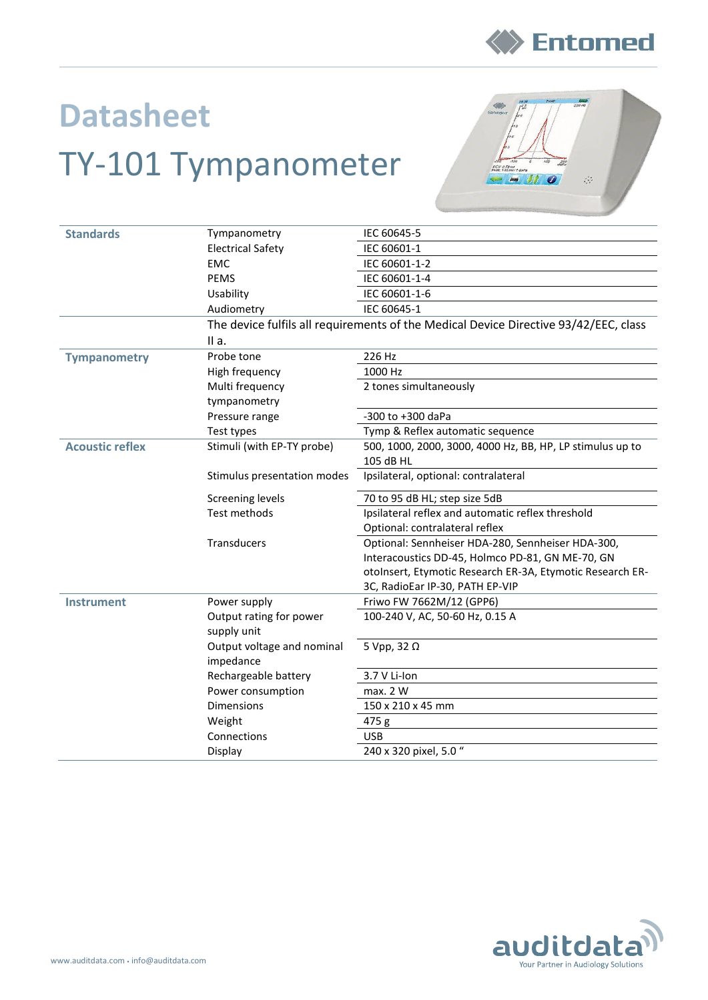

## **Datasheet** TY-101 Tympanometer



| <b>Standards</b>       | Tympanometry                                                                         | IEC 60645-5                                               |  |  |
|------------------------|--------------------------------------------------------------------------------------|-----------------------------------------------------------|--|--|
|                        | <b>Electrical Safety</b>                                                             | IEC 60601-1                                               |  |  |
|                        | <b>EMC</b>                                                                           | IEC 60601-1-2                                             |  |  |
|                        | <b>PEMS</b>                                                                          | IEC 60601-1-4                                             |  |  |
|                        | Usability                                                                            | IEC 60601-1-6                                             |  |  |
|                        | Audiometry                                                                           | IEC 60645-1                                               |  |  |
|                        | The device fulfils all requirements of the Medical Device Directive 93/42/EEC, class |                                                           |  |  |
|                        | IIa.                                                                                 |                                                           |  |  |
| <b>Tympanometry</b>    | Probe tone                                                                           | 226 Hz                                                    |  |  |
|                        | High frequency                                                                       | 1000 Hz                                                   |  |  |
|                        | Multi frequency                                                                      | 2 tones simultaneously                                    |  |  |
|                        | tympanometry                                                                         |                                                           |  |  |
|                        | Pressure range                                                                       | -300 to +300 daPa                                         |  |  |
|                        | Test types                                                                           | Tymp & Reflex automatic sequence                          |  |  |
| <b>Acoustic reflex</b> | Stimuli (with EP-TY probe)                                                           | 500, 1000, 2000, 3000, 4000 Hz, BB, HP, LP stimulus up to |  |  |
|                        |                                                                                      | 105 dB HL                                                 |  |  |
|                        | Stimulus presentation modes                                                          | Ipsilateral, optional: contralateral                      |  |  |
|                        | <b>Screening levels</b>                                                              | 70 to 95 dB HL; step size 5dB                             |  |  |
|                        | Test methods                                                                         | Ipsilateral reflex and automatic reflex threshold         |  |  |
|                        |                                                                                      | Optional: contralateral reflex                            |  |  |
|                        | Transducers                                                                          | Optional: Sennheiser HDA-280, Sennheiser HDA-300,         |  |  |
|                        |                                                                                      | Interacoustics DD-45, Holmco PD-81, GN ME-70, GN          |  |  |
|                        |                                                                                      | otoInsert, Etymotic Research ER-3A, Etymotic Research ER- |  |  |
|                        |                                                                                      | 3C, RadioEar IP-30, PATH EP-VIP                           |  |  |
| <b>Instrument</b>      | Power supply                                                                         | Friwo FW 7662M/12 (GPP6)                                  |  |  |
|                        | Output rating for power<br>supply unit                                               | 100-240 V, AC, 50-60 Hz, 0.15 A                           |  |  |
|                        | Output voltage and nominal                                                           | 5 Vpp, 32 $\Omega$                                        |  |  |
|                        | impedance                                                                            |                                                           |  |  |
|                        | Rechargeable battery                                                                 | 3.7 V Li-Ion                                              |  |  |
|                        | Power consumption                                                                    | max. 2 W                                                  |  |  |
|                        | <b>Dimensions</b>                                                                    | 150 x 210 x 45 mm                                         |  |  |
|                        | Weight                                                                               | 475 g                                                     |  |  |
|                        | Connections                                                                          | <b>USB</b>                                                |  |  |
|                        | Display                                                                              | 240 x 320 pixel, 5.0 "                                    |  |  |